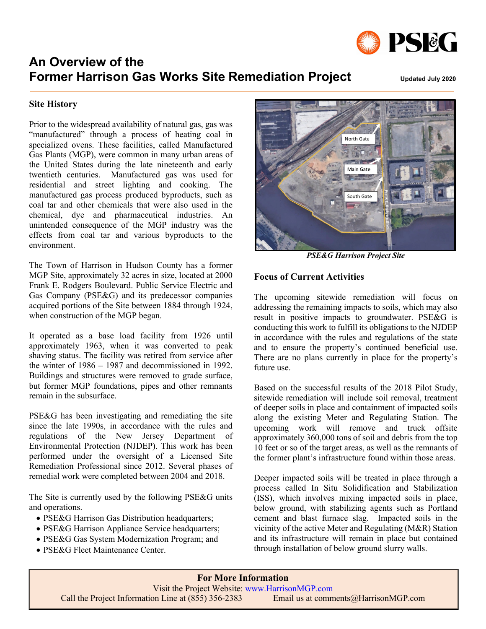

# **An Overview of the Former Harrison Gas Works Site Remediation Project** Updated July 2020

# **Site History**

Prior to the widespread availability of natural gas, gas was "manufactured" through a process of heating coal in specialized ovens. These facilities, called Manufactured Gas Plants (MGP), were common in many urban areas of the United States during the late nineteenth and early twentieth centuries. Manufactured gas was used for residential and street lighting and cooking. The manufactured gas process produced byproducts, such as coal tar and other chemicals that were also used in the chemical, dye and pharmaceutical industries. An unintended consequence of the MGP industry was the effects from coal tar and various byproducts to the environment.

The Town of Harrison in Hudson County has a former MGP Site, approximately 32 acres in size, located at 2000 Frank E. Rodgers Boulevard. Public Service Electric and Gas Company (PSE&G) and its predecessor companies acquired portions of the Site between 1884 through 1924, when construction of the MGP began.

It operated as a base load facility from 1926 until approximately 1963, when it was converted to peak shaving status. The facility was retired from service after the winter of 1986 – 1987 and decommissioned in 1992. Buildings and structures were removed to grade surface, but former MGP foundations, pipes and other remnants remain in the subsurface.

PSE&G has been investigating and remediating the site since the late 1990s, in accordance with the rules and regulations of the New Jersey Department of Environmental Protection (NJDEP). This work has been performed under the oversight of a Licensed Site Remediation Professional since 2012. Several phases of remedial work were completed between 2004 and 2018.

The Site is currently used by the following PSE&G units and operations.

- PSE&G Harrison Gas Distribution headquarters;
- PSE&G Harrison Appliance Service headquarters;
- PSE&G Gas System Modernization Program; and
- PSE&G Fleet Maintenance Center.



*PSE&G Harrison Project Site*

## **Focus of Current Activities**

The upcoming sitewide remediation will focus on addressing the remaining impacts to soils, which may also result in positive impacts to groundwater. PSE&G is conducting this work to fulfill its obligations to the NJDEP in accordance with the rules and regulations of the state and to ensure the property's continued beneficial use. There are no plans currently in place for the property's future use.

Based on the successful results of the 2018 Pilot Study, sitewide remediation will include soil removal, treatment of deeper soils in place and containment of impacted soils along the existing Meter and Regulating Station. The upcoming work will remove and truck offsite approximately 360,000 tons of soil and debris from the top 10 feet or so of the target areas, as well as the remnants of the former plant's infrastructure found within those areas.

Deeper impacted soils will be treated in place through a process called In Situ Solidification and Stabilization (ISS), which involves mixing impacted soils in place, below ground, with stabilizing agents such as Portland cement and blast furnace slag. Impacted soils in the vicinity of the active Meter and Regulating (M&R) Station and its infrastructure will remain in place but contained through installation of below ground slurry walls.